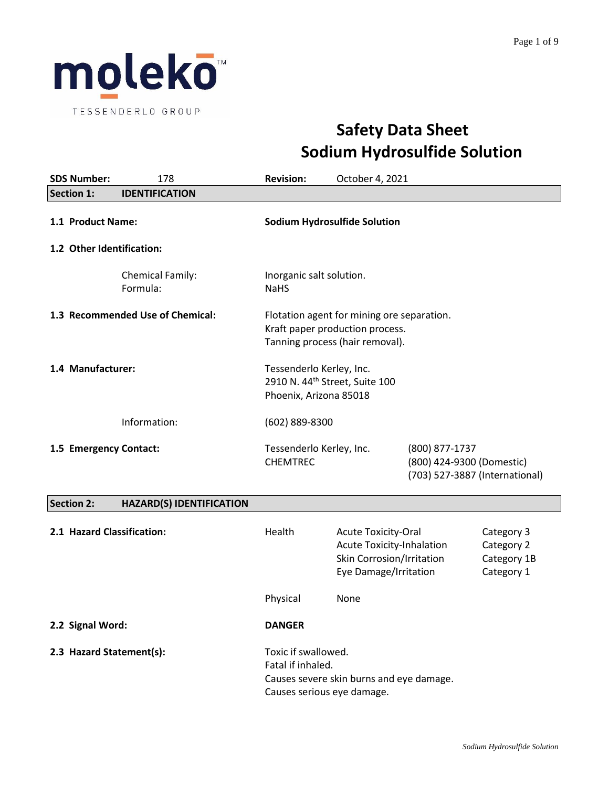

# **Safety Data Sheet Sodium Hydrosulfide Solution**

|                        | <b>SDS Number:</b>                             | 178                                         | <b>Revision:</b>                                   | October 4, 2021                                                                                                      |                                |                                                       |
|------------------------|------------------------------------------------|---------------------------------------------|----------------------------------------------------|----------------------------------------------------------------------------------------------------------------------|--------------------------------|-------------------------------------------------------|
|                        | <b>Section 1:</b>                              | <b>IDENTIFICATION</b>                       |                                                    |                                                                                                                      |                                |                                                       |
|                        | 1.1 Product Name:<br>1.2 Other Identification: |                                             |                                                    | <b>Sodium Hydrosulfide Solution</b>                                                                                  |                                |                                                       |
|                        |                                                | Chemical Family:<br>Formula:                | Inorganic salt solution.<br><b>NaHS</b>            |                                                                                                                      |                                |                                                       |
|                        |                                                | 1.3 Recommended Use of Chemical:            |                                                    | Flotation agent for mining ore separation.<br>Kraft paper production process.<br>Tanning process (hair removal).     |                                |                                                       |
|                        | 1.4 Manufacturer:                              |                                             | Tessenderlo Kerley, Inc.<br>Phoenix, Arizona 85018 | 2910 N. 44 <sup>th</sup> Street, Suite 100                                                                           |                                |                                                       |
|                        |                                                | Information:                                | (602) 889-8300                                     |                                                                                                                      |                                |                                                       |
| 1.5 Emergency Contact: |                                                | Tessenderlo Kerley, Inc.<br><b>CHEMTREC</b> |                                                    | (800) 877-1737<br>(800) 424-9300 (Domestic)                                                                          | (703) 527-3887 (International) |                                                       |
|                        | <b>Section 2:</b>                              | <b>HAZARD(S) IDENTIFICATION</b>             |                                                    |                                                                                                                      |                                |                                                       |
|                        |                                                | 2.1 Hazard Classification:                  | Health                                             | <b>Acute Toxicity-Oral</b><br><b>Acute Toxicity-Inhalation</b><br>Skin Corrosion/Irritation<br>Eye Damage/Irritation |                                | Category 3<br>Category 2<br>Category 1B<br>Category 1 |
|                        |                                                |                                             | Physical                                           | None                                                                                                                 |                                |                                                       |
|                        | 2.2 Signal Word:                               |                                             | <b>DANGER</b>                                      |                                                                                                                      |                                |                                                       |
|                        |                                                | 2.3 Hazard Statement(s):                    | Toxic if swallowed.                                |                                                                                                                      |                                |                                                       |

Fatal if inhaled. Causes severe skin burns and eye damage. Causes serious eye damage.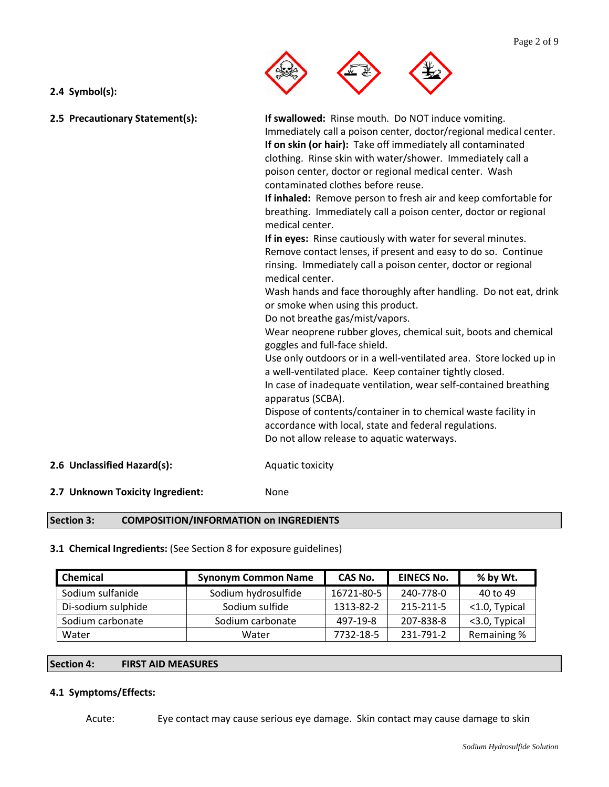

# **2.4 Symbol(s):**

| 2.5 Precautionary Statement(s): | If swallowed: Rinse mouth. Do NOT induce vomiting.<br>Immediately call a poison center, doctor/regional medical center.<br>If on skin (or hair): Take off immediately all contaminated<br>clothing. Rinse skin with water/shower. Immediately call a<br>poison center, doctor or regional medical center. Wash<br>contaminated clothes before reuse.<br>If inhaled: Remove person to fresh air and keep comfortable for<br>breathing. Immediately call a poison center, doctor or regional<br>medical center.<br>If in eyes: Rinse cautiously with water for several minutes.<br>Remove contact lenses, if present and easy to do so. Continue<br>rinsing. Immediately call a poison center, doctor or regional<br>medical center.<br>Wash hands and face thoroughly after handling. Do not eat, drink<br>or smoke when using this product.<br>Do not breathe gas/mist/vapors.<br>Wear neoprene rubber gloves, chemical suit, boots and chemical<br>goggles and full-face shield.<br>Use only outdoors or in a well-ventilated area. Store locked up in<br>a well-ventilated place. Keep container tightly closed.<br>In case of inadequate ventilation, wear self-contained breathing<br>apparatus (SCBA).<br>Dispose of contents/container in to chemical waste facility in<br>accordance with local, state and federal regulations.<br>Do not allow release to aquatic waterways. |
|---------------------------------|--------------------------------------------------------------------------------------------------------------------------------------------------------------------------------------------------------------------------------------------------------------------------------------------------------------------------------------------------------------------------------------------------------------------------------------------------------------------------------------------------------------------------------------------------------------------------------------------------------------------------------------------------------------------------------------------------------------------------------------------------------------------------------------------------------------------------------------------------------------------------------------------------------------------------------------------------------------------------------------------------------------------------------------------------------------------------------------------------------------------------------------------------------------------------------------------------------------------------------------------------------------------------------------------------------------------------------------------------------------------------------------|
| 2.6 Unclassified Hazard(s):     | Aquatic toxicity                                                                                                                                                                                                                                                                                                                                                                                                                                                                                                                                                                                                                                                                                                                                                                                                                                                                                                                                                                                                                                                                                                                                                                                                                                                                                                                                                                     |

**2.7 Unknown Toxicity Ingredient:** None

# **Section 3: COMPOSITION/INFORMATION on INGREDIENTS**

### **3.1 Chemical Ingredients:** (See Section 8 for exposure guidelines)

| Chemical           | <b>Synonym Common Name</b> | CAS No.    | <b>EINECS No.</b> | % by Wt.      |
|--------------------|----------------------------|------------|-------------------|---------------|
| Sodium sulfanide   | Sodium hydrosulfide        | 16721-80-5 | 240-778-0         | 40 to 49      |
| Di-sodium sulphide | Sodium sulfide             | 1313-82-2  | 215-211-5         | <1.0, Typical |
| Sodium carbonate   | Sodium carbonate           | 497-19-8   | 207-838-8         | <3.0, Typical |
| Water              | Water                      | 7732-18-5  | 231-791-2         | Remaining %   |

#### **Section 4: FIRST AID MEASURES**

# **4.1 Symptoms/Effects:**

Acute: Eye contact may cause serious eye damage. Skin contact may cause damage to skin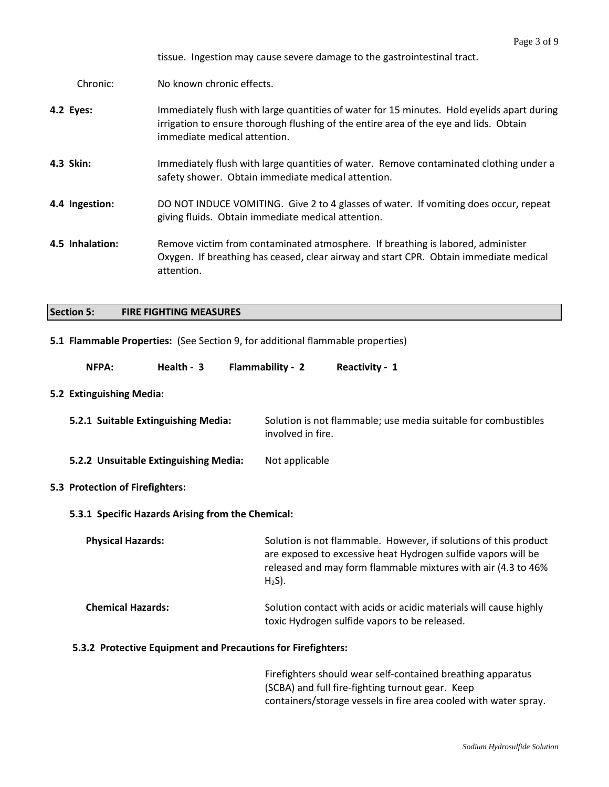tissue. Ingestion may cause severe damage to the gastrointestinal tract.

Chronic: No known chronic effects.

- **4.2 Eyes:** Immediately flush with large quantities of water for 15 minutes. Hold eyelids apart during irrigation to ensure thorough flushing of the entire area of the eye and lids. Obtain immediate medical attention.
- **4.3 Skin:** Immediately flush with large quantities of water. Remove contaminated clothing under a safety shower. Obtain immediate medical attention.
- **4.4 Ingestion:** DO NOT INDUCE VOMITING. Give 2 to 4 glasses of water. If vomiting does occur, repeat giving fluids. Obtain immediate medical attention.
- **4.5 Inhalation:** Remove victim from contaminated atmosphere. If breathing is labored, administer Oxygen. If breathing has ceased, clear airway and start CPR. Obtain immediate medical attention.

#### **Section 5: FIRE FIGHTING MEASURES**

#### **5.1 Flammable Properties:** (See Section 9, for additional flammable properties)

| NFPA: | Health - 3 | Flammability - 2 | <b>Reactivity - 1</b> |
|-------|------------|------------------|-----------------------|
|-------|------------|------------------|-----------------------|

#### **5.2 Extinguishing Media:**

| 5.2.1 Suitable Extinguishing Media: | Solution is not flammable; use media suitable for combustibles |
|-------------------------------------|----------------------------------------------------------------|
|                                     | involved in fire.                                              |

**5.2.2 Unsuitable Extinguishing Media:** Not applicable

#### **5.3 Protection of Firefighters:**

#### **5.3.1 Specific Hazards Arising from the Chemical:**

**Physical Hazards:** Solution is not flammable. However, if solutions of this product are exposed to excessive heat Hydrogen sulfide vapors will be released and may form flammable mixtures with air (4.3 to 46%  $H<sub>2</sub>S$ ).

# **Chemical Hazards:** Solution contact with acids or acidic materials will cause highly toxic Hydrogen sulfide vapors to be released.

#### **5.3.2 Protective Equipment and Precautions for Firefighters:**

Firefighters should wear self-contained breathing apparatus (SCBA) and full fire-fighting turnout gear. Keep containers/storage vessels in fire area cooled with water spray.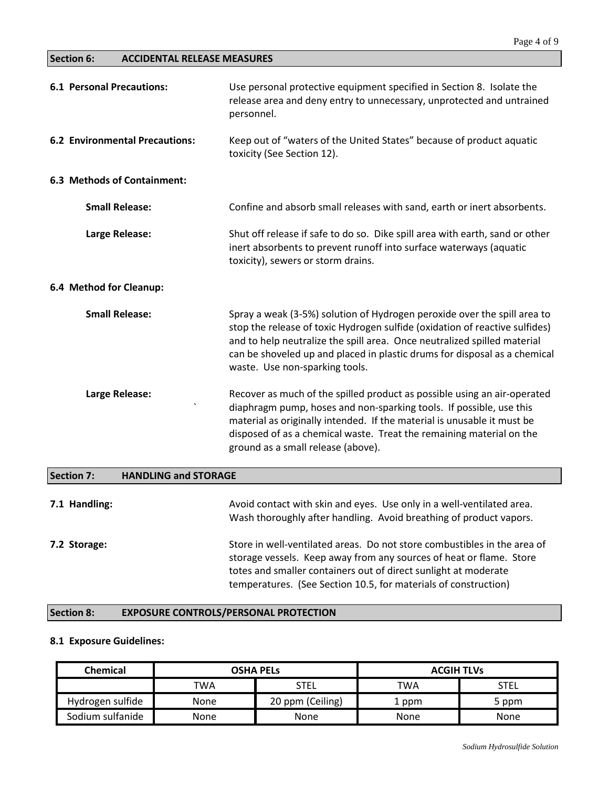# **Section 6: ACCIDENTAL RELEASE MEASURES**

| <b>6.1 Personal Precautions:</b>                 | Use personal protective equipment specified in Section 8. Isolate the<br>release area and deny entry to unnecessary, unprotected and untrained<br>personnel.                                                                                                                                                                                       |
|--------------------------------------------------|----------------------------------------------------------------------------------------------------------------------------------------------------------------------------------------------------------------------------------------------------------------------------------------------------------------------------------------------------|
| <b>6.2 Environmental Precautions:</b>            | Keep out of "waters of the United States" because of product aquatic<br>toxicity (See Section 12).                                                                                                                                                                                                                                                 |
| 6.3 Methods of Containment:                      |                                                                                                                                                                                                                                                                                                                                                    |
| <b>Small Release:</b>                            | Confine and absorb small releases with sand, earth or inert absorbents.                                                                                                                                                                                                                                                                            |
| Large Release:                                   | Shut off release if safe to do so. Dike spill area with earth, sand or other<br>inert absorbents to prevent runoff into surface waterways (aquatic<br>toxicity), sewers or storm drains.                                                                                                                                                           |
| 6.4 Method for Cleanup:                          |                                                                                                                                                                                                                                                                                                                                                    |
| <b>Small Release:</b>                            | Spray a weak (3-5%) solution of Hydrogen peroxide over the spill area to<br>stop the release of toxic Hydrogen sulfide (oxidation of reactive sulfides)<br>and to help neutralize the spill area. Once neutralized spilled material<br>can be shoveled up and placed in plastic drums for disposal as a chemical<br>waste. Use non-sparking tools. |
| Large Release:                                   | Recover as much of the spilled product as possible using an air-operated<br>diaphragm pump, hoses and non-sparking tools. If possible, use this<br>material as originally intended. If the material is unusable it must be<br>disposed of as a chemical waste. Treat the remaining material on the<br>ground as a small release (above).           |
| <b>Section 7:</b><br><b>HANDLING and STORAGE</b> |                                                                                                                                                                                                                                                                                                                                                    |
| 7.1 Handling:                                    | Avoid contact with skin and eyes. Use only in a well-ventilated area.<br>Wash thoroughly after handling. Avoid breathing of product vapors.                                                                                                                                                                                                        |
| 7.2 Storage:                                     | Store in well-ventilated areas. Do not store combustibles in the area of<br>storage vessels. Keep away from any sources of heat or flame. Store<br>totes and smaller containers out of direct sunlight at moderate<br>temperatures. (See Section 10.5, for materials of construction)                                                              |

# **Section 8: EXPOSURE CONTROLS/PERSONAL PROTECTION**

#### **8.1 Exposure Guidelines:**

| Chemical         | <b>OSHA PELS</b> |                  | <b>ACGIH TLVS</b> |       |
|------------------|------------------|------------------|-------------------|-------|
|                  | TWA              | STEL             | <b>TWA</b>        | STEL  |
| Hydrogen sulfide | None             | 20 ppm (Ceiling) | 1 ppm             | 5 ppm |
| Sodium sulfanide | None             | None             | None              | None  |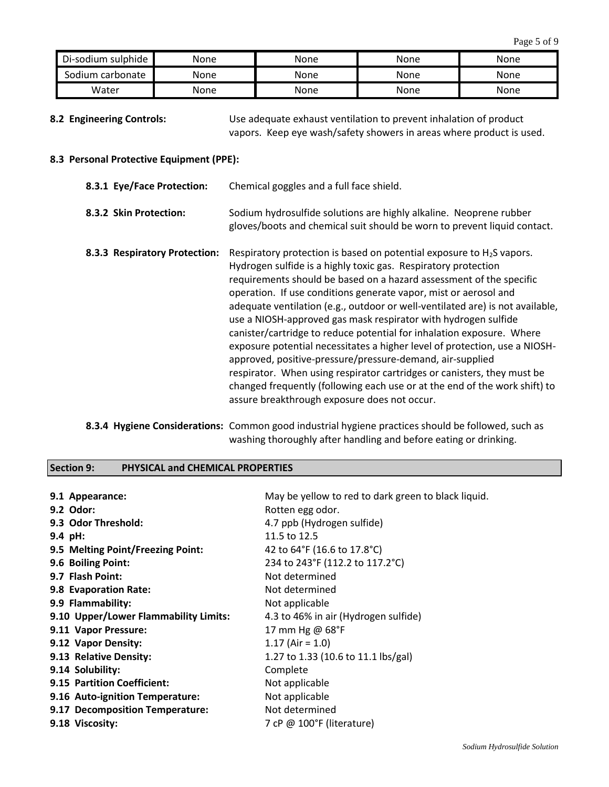| Di-sodium sulphide | None | None | None | None |
|--------------------|------|------|------|------|
| Sodium carbonate   | None | None | None | None |
| Water              | None | None | None | None |

**8.2 Engineering Controls:** Use adequate exhaust ventilation to prevent inhalation of product vapors. Keep eye wash/safety showers in areas where product is used.

#### **8.3 Personal Protective Equipment (PPE):**

| 8.3.1 Eye/Face Protection:    | Chemical goggles and a full face shield.                                                                                                                                                                                                                                                                                                                                                                                                                                                                                                                                                                                                                                                                                                                                                                                                                             |
|-------------------------------|----------------------------------------------------------------------------------------------------------------------------------------------------------------------------------------------------------------------------------------------------------------------------------------------------------------------------------------------------------------------------------------------------------------------------------------------------------------------------------------------------------------------------------------------------------------------------------------------------------------------------------------------------------------------------------------------------------------------------------------------------------------------------------------------------------------------------------------------------------------------|
| 8.3.2 Skin Protection:        | Sodium hydrosulfide solutions are highly alkaline. Neoprene rubber<br>gloves/boots and chemical suit should be worn to prevent liquid contact.                                                                                                                                                                                                                                                                                                                                                                                                                                                                                                                                                                                                                                                                                                                       |
| 8.3.3 Respiratory Protection: | Respiratory protection is based on potential exposure to $H_2S$ vapors.<br>Hydrogen sulfide is a highly toxic gas. Respiratory protection<br>requirements should be based on a hazard assessment of the specific<br>operation. If use conditions generate vapor, mist or aerosol and<br>adequate ventilation (e.g., outdoor or well-ventilated are) is not available,<br>use a NIOSH-approved gas mask respirator with hydrogen sulfide<br>canister/cartridge to reduce potential for inhalation exposure. Where<br>exposure potential necessitates a higher level of protection, use a NIOSH-<br>approved, positive-pressure/pressure-demand, air-supplied<br>respirator. When using respirator cartridges or canisters, they must be<br>changed frequently (following each use or at the end of the work shift) to<br>assure breakthrough exposure does not occur. |

**8.3.4 Hygiene Considerations:** Common good industrial hygiene practices should be followed, such as washing thoroughly after handling and before eating or drinking.

#### **Section 9: PHYSICAL and CHEMICAL PROPERTIES**

| 9.1 Appearance:                       | May be yellow to red to dark green to black liquid. |
|---------------------------------------|-----------------------------------------------------|
| 9.2 Odor:                             | Rotten egg odor.                                    |
| 9.3 Odor Threshold:                   | 4.7 ppb (Hydrogen sulfide)                          |
| 9.4 pH:                               | 11.5 to 12.5                                        |
| 9.5 Melting Point/Freezing Point:     | 42 to 64°F (16.6 to 17.8°C)                         |
| 9.6 Boiling Point:                    | 234 to 243°F (112.2 to 117.2°C)                     |
| 9.7 Flash Point:                      | Not determined                                      |
| 9.8 Evaporation Rate:                 | Not determined                                      |
| 9.9 Flammability:                     | Not applicable                                      |
| 9.10 Upper/Lower Flammability Limits: | 4.3 to 46% in air (Hydrogen sulfide)                |
| 9.11 Vapor Pressure:                  | 17 mm Hg @ 68°F                                     |
| 9.12 Vapor Density:                   | $1.17$ (Air = 1.0)                                  |
| 9.13 Relative Density:                | 1.27 to 1.33 (10.6 to 11.1 lbs/gal)                 |
| 9.14 Solubility:                      | Complete                                            |
| 9.15 Partition Coefficient:           | Not applicable                                      |
| 9.16 Auto-ignition Temperature:       | Not applicable                                      |
| 9.17 Decomposition Temperature:       | Not determined                                      |
| 9.18 Viscosity:                       | 7 cP @ $100^{\circ}$ F (literature)                 |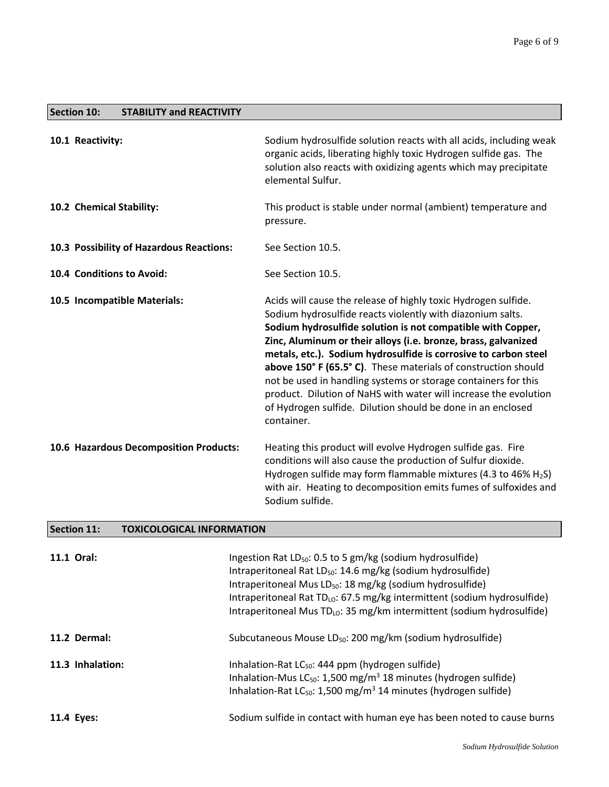| <b>Section 10:</b><br><b>STABILITY and REACTIVITY</b> |                                                                                                                                                                                                                                                                                                                                                                                                                                                                                                                                                                                                                       |
|-------------------------------------------------------|-----------------------------------------------------------------------------------------------------------------------------------------------------------------------------------------------------------------------------------------------------------------------------------------------------------------------------------------------------------------------------------------------------------------------------------------------------------------------------------------------------------------------------------------------------------------------------------------------------------------------|
| 10.1 Reactivity:                                      | Sodium hydrosulfide solution reacts with all acids, including weak<br>organic acids, liberating highly toxic Hydrogen sulfide gas. The<br>solution also reacts with oxidizing agents which may precipitate<br>elemental Sulfur.                                                                                                                                                                                                                                                                                                                                                                                       |
| 10.2 Chemical Stability:                              | This product is stable under normal (ambient) temperature and<br>pressure.                                                                                                                                                                                                                                                                                                                                                                                                                                                                                                                                            |
| 10.3 Possibility of Hazardous Reactions:              | See Section 10.5.                                                                                                                                                                                                                                                                                                                                                                                                                                                                                                                                                                                                     |
| 10.4 Conditions to Avoid:                             | See Section 10.5.                                                                                                                                                                                                                                                                                                                                                                                                                                                                                                                                                                                                     |
| 10.5 Incompatible Materials:                          | Acids will cause the release of highly toxic Hydrogen sulfide.<br>Sodium hydrosulfide reacts violently with diazonium salts.<br>Sodium hydrosulfide solution is not compatible with Copper,<br>Zinc, Aluminum or their alloys (i.e. bronze, brass, galvanized<br>metals, etc.). Sodium hydrosulfide is corrosive to carbon steel<br>above 150° F (65.5° C). These materials of construction should<br>not be used in handling systems or storage containers for this<br>product. Dilution of NaHS with water will increase the evolution<br>of Hydrogen sulfide. Dilution should be done in an enclosed<br>container. |
| 10.6 Hazardous Decomposition Products:                | Heating this product will evolve Hydrogen sulfide gas. Fire<br>conditions will also cause the production of Sulfur dioxide.<br>Hydrogen sulfide may form flammable mixtures (4.3 to 46% $H_2S$ )<br>with air. Heating to decomposition emits fumes of sulfoxides and<br>Sodium sulfide.                                                                                                                                                                                                                                                                                                                               |

# **Section 11: TOXICOLOGICAL INFORMATION**

| 11.1 Oral:       | Ingestion Rat $LD_{50}$ : 0.5 to 5 gm/kg (sodium hydrosulfide)<br>Intraperitoneal Rat LD <sub>50</sub> : 14.6 mg/kg (sodium hydrosulfide)<br>Intraperitoneal Mus LD <sub>50</sub> : 18 mg/kg (sodium hydrosulfide)<br>Intraperitoneal Rat $TD_{LO}$ : 67.5 mg/kg intermittent (sodium hydrosulfide)<br>Intraperitoneal Mus TD <sub>LO</sub> : 35 mg/km intermittent (sodium hydrosulfide) |
|------------------|-------------------------------------------------------------------------------------------------------------------------------------------------------------------------------------------------------------------------------------------------------------------------------------------------------------------------------------------------------------------------------------------|
| 11.2 Dermal:     | Subcutaneous Mouse LD <sub>50</sub> : 200 mg/km (sodium hydrosulfide)                                                                                                                                                                                                                                                                                                                     |
| 11.3 Inhalation: | Inhalation-Rat $LC_{50}$ : 444 ppm (hydrogen sulfide)<br>Inhalation-Mus $LC_{50}$ : 1,500 mg/m <sup>3</sup> 18 minutes (hydrogen sulfide)<br>Inhalation-Rat LC <sub>50</sub> : 1,500 mg/m <sup>3</sup> 14 minutes (hydrogen sulfide)                                                                                                                                                      |
| 11.4 Eyes:       | Sodium sulfide in contact with human eye has been noted to cause burns                                                                                                                                                                                                                                                                                                                    |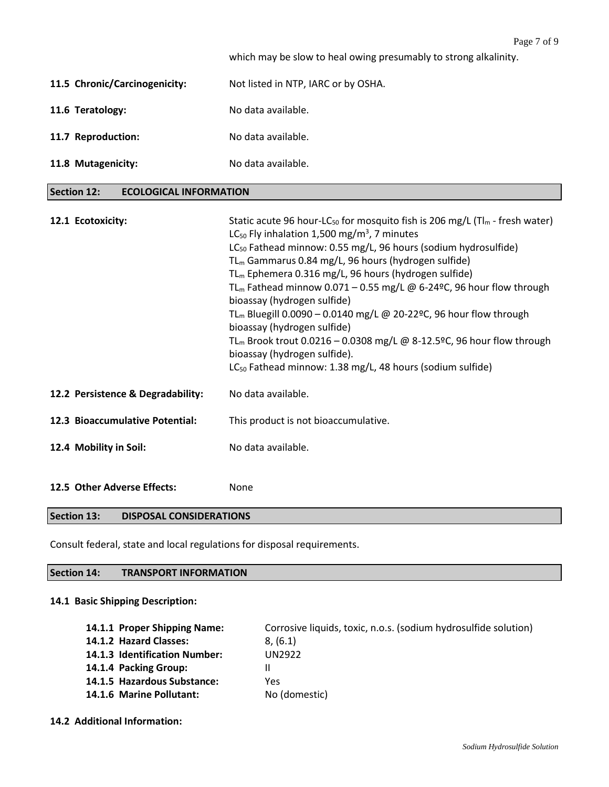|                                                     | Page 7 of 9                                                                                                                                                                                                                                                                                                                                                                                                                                                                                                                                                                                                                                                                                                                                                                                                                          |
|-----------------------------------------------------|--------------------------------------------------------------------------------------------------------------------------------------------------------------------------------------------------------------------------------------------------------------------------------------------------------------------------------------------------------------------------------------------------------------------------------------------------------------------------------------------------------------------------------------------------------------------------------------------------------------------------------------------------------------------------------------------------------------------------------------------------------------------------------------------------------------------------------------|
|                                                     | which may be slow to heal owing presumably to strong alkalinity.                                                                                                                                                                                                                                                                                                                                                                                                                                                                                                                                                                                                                                                                                                                                                                     |
| 11.5 Chronic/Carcinogenicity:                       | Not listed in NTP, IARC or by OSHA.                                                                                                                                                                                                                                                                                                                                                                                                                                                                                                                                                                                                                                                                                                                                                                                                  |
| 11.6 Teratology:                                    | No data available.                                                                                                                                                                                                                                                                                                                                                                                                                                                                                                                                                                                                                                                                                                                                                                                                                   |
| 11.7 Reproduction:                                  | No data available.                                                                                                                                                                                                                                                                                                                                                                                                                                                                                                                                                                                                                                                                                                                                                                                                                   |
| 11.8 Mutagenicity:                                  | No data available.                                                                                                                                                                                                                                                                                                                                                                                                                                                                                                                                                                                                                                                                                                                                                                                                                   |
| <b>Section 12:</b><br><b>ECOLOGICAL INFORMATION</b> |                                                                                                                                                                                                                                                                                                                                                                                                                                                                                                                                                                                                                                                                                                                                                                                                                                      |
| 12.1 Ecotoxicity:                                   | Static acute 96 hour-LC <sub>50</sub> for mosquito fish is 206 mg/L ( $Tl_m$ - fresh water)<br>LC <sub>50</sub> Fly inhalation 1,500 mg/m <sup>3</sup> , 7 minutes<br>LC <sub>50</sub> Fathead minnow: 0.55 mg/L, 96 hours (sodium hydrosulfide)<br>TL <sub>m</sub> Gammarus 0.84 mg/L, 96 hours (hydrogen sulfide)<br>TL <sub>m</sub> Ephemera 0.316 mg/L, 96 hours (hydrogen sulfide)<br>TL <sub>m</sub> Fathead minnow 0.071 - 0.55 mg/L @ 6-24°C, 96 hour flow through<br>bioassay (hydrogen sulfide)<br>TL <sub>m</sub> Bluegill 0.0090 - 0.0140 mg/L @ 20-22 <sup>o</sup> C, 96 hour flow through<br>bioassay (hydrogen sulfide)<br>TL <sub>m</sub> Brook trout 0.0216 - 0.0308 mg/L @ 8-12.5ºC, 96 hour flow through<br>bioassay (hydrogen sulfide).<br>LC <sub>50</sub> Fathead minnow: 1.38 mg/L, 48 hours (sodium sulfide) |
| 12.2 Persistence & Degradability:                   | No data available.                                                                                                                                                                                                                                                                                                                                                                                                                                                                                                                                                                                                                                                                                                                                                                                                                   |
| 12.3 Bioaccumulative Potential:                     | This product is not bioaccumulative.                                                                                                                                                                                                                                                                                                                                                                                                                                                                                                                                                                                                                                                                                                                                                                                                 |
| 12.4 Mobility in Soil:                              | No data available.                                                                                                                                                                                                                                                                                                                                                                                                                                                                                                                                                                                                                                                                                                                                                                                                                   |

**12.5 Other Adverse Effects:** None

# **Section 13: DISPOSAL CONSIDERATIONS**

Consult federal, state and local regulations for disposal requirements.

# **Section 14: TRANSPORT INFORMATION**

# **14.1 Basic Shipping Description:**

| 14.1.1 Proper Shipping Name:  | Corrosive liquids, toxic, n.o.s. (sodium hydrosulfide solution) |
|-------------------------------|-----------------------------------------------------------------|
| 14.1.2 Hazard Classes:        | 8. (6.1)                                                        |
| 14.1.3 Identification Number: | UN2922                                                          |
| 14.1.4 Packing Group:         |                                                                 |
| 14.1.5 Hazardous Substance:   | Yes                                                             |
| 14.1.6 Marine Pollutant:      | No (domestic)                                                   |

#### **14.2 Additional Information:**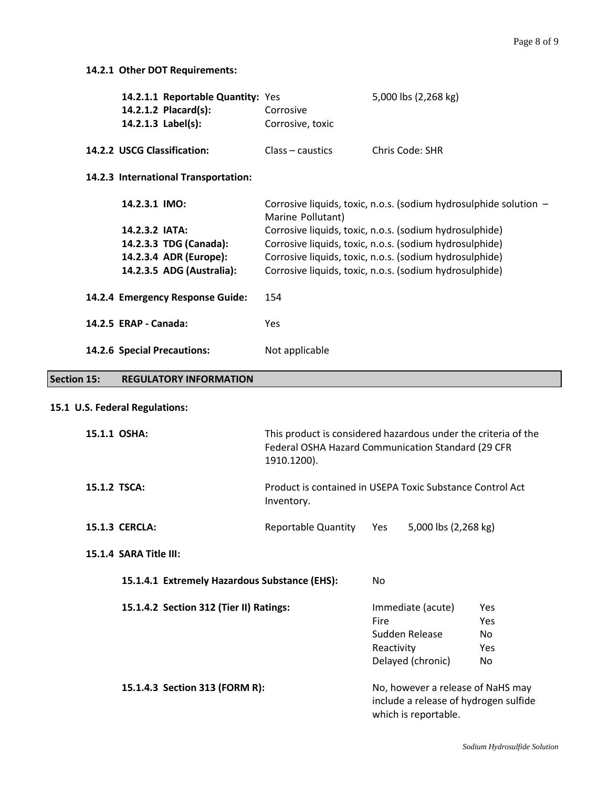# **14.2.1 Other DOT Requirements:**

|                    |                       | 14.2.1.1 Reportable Quantity: Yes<br>14.2.1.2 Placard(s):<br>14.2.1.3 Label(s): | Corrosive<br>Corrosive, toxic                           | 5,000 lbs (2,268 kg)                                              |  |
|--------------------|-----------------------|---------------------------------------------------------------------------------|---------------------------------------------------------|-------------------------------------------------------------------|--|
|                    |                       | 14.2.2 USCG Classification:                                                     | Class – caustics                                        | Chris Code: SHR                                                   |  |
|                    |                       | 14.2.3 International Transportation:                                            |                                                         |                                                                   |  |
|                    | 14.2.3.1 IMO:         |                                                                                 | Marine Pollutant)                                       | Corrosive liquids, toxic, n.o.s. (sodium hydrosulphide solution - |  |
|                    | 14.2.3.2 IATA:        |                                                                                 | Corrosive liquids, toxic, n.o.s. (sodium hydrosulphide) |                                                                   |  |
|                    |                       | 14.2.3.3 TDG (Canada):                                                          | Corrosive liquids, toxic, n.o.s. (sodium hydrosulphide) |                                                                   |  |
|                    |                       | 14.2.3.4 ADR (Europe):                                                          | Corrosive liquids, toxic, n.o.s. (sodium hydrosulphide) |                                                                   |  |
|                    |                       | 14.2.3.5 ADG (Australia):                                                       |                                                         | Corrosive liquids, toxic, n.o.s. (sodium hydrosulphide)           |  |
|                    |                       | 14.2.4 Emergency Response Guide:                                                | 154                                                     |                                                                   |  |
|                    | 14.2.5 ERAP - Canada: |                                                                                 | <b>Yes</b>                                              |                                                                   |  |
|                    |                       | 14.2.6 Special Precautions:                                                     | Not applicable                                          |                                                                   |  |
| <b>Section 15:</b> |                       | <b>REGULATORY INFORMATION</b>                                                   |                                                         |                                                                   |  |

# **15.1 U.S. Federal Regulations:**

| 15.1.1 OSHA:                                  | This product is considered hazardous under the criteria of the<br>Federal OSHA Hazard Communication Standard (29 CFR<br>1910.1200). |                                                                                |                                                                                                    |                                 |
|-----------------------------------------------|-------------------------------------------------------------------------------------------------------------------------------------|--------------------------------------------------------------------------------|----------------------------------------------------------------------------------------------------|---------------------------------|
| 15.1.2 TSCA:                                  | Product is contained in USEPA Toxic Substance Control Act<br>Inventory.                                                             |                                                                                |                                                                                                    |                                 |
| <b>15.1.3 CERCLA:</b>                         | <b>Reportable Quantity</b>                                                                                                          | Yes                                                                            | 5,000 lbs (2,268 kg)                                                                               |                                 |
| 15.1.4 SARA Title III:                        |                                                                                                                                     |                                                                                |                                                                                                    |                                 |
| 15.1.4.1 Extremely Hazardous Substance (EHS): |                                                                                                                                     | No                                                                             |                                                                                                    |                                 |
| 15.1.4.2 Section 312 (Tier II) Ratings:       |                                                                                                                                     | Immediate (acute)<br>Fire<br>Sudden Release<br>Reactivity<br>Delayed (chronic) |                                                                                                    | Yes<br>Yes<br>No.<br>Yes<br>No. |
| 15.1.4.3 Section 313 (FORM R):                |                                                                                                                                     |                                                                                | No, however a release of NaHS may<br>include a release of hydrogen sulfide<br>which is reportable. |                                 |